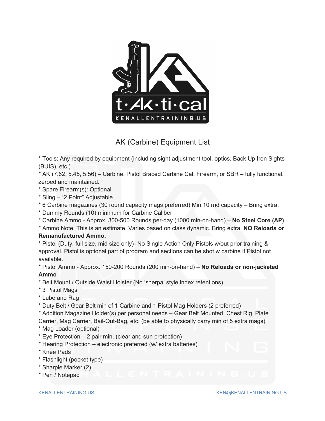

AK (Carbine) Equipment List

\* Tools: Any required by equipment (including sight adjustment tool, optics, Back Up Iron Sights (BUIS), etc.)

\* AK (7.62, 5.45, 5.56) – Carbine, Pistol Braced Carbine Cal. Firearm, or SBR – fully functional, zeroed and maintained.

- \* Spare Firearm(s): Optional
- \* Sling ‒ "2 Point" Adjustable
- \* 6 Carbine magazines (30 round capacity mags preferred) Min 10 rnd capacity ‒ Bring extra.
- \* Dummy Rounds (10) minimum for Carbine Caliber
- \* Carbine Ammo Approx. 300-500 Rounds per-day (1000 min-on-hand) ‒ **No Steel Core (AP)**
- \* Ammo Note: This is an estimate. Varies based on class dynamic. Bring extra. **NO Reloads or**

## **Remanufactured Ammo.**

\* Pistol (Duty, full size, mid size only)- No Single Action Only Pistols w/out prior training & approval. Pistol is optional part of program and sections can be shot w carbine if Pistol not available.

\* Pistol Ammo - Approx. 150-200 Rounds (200 min-on-hand) ‒ **No Reloads or non-jacketed Ammo** 

- \* Belt Mount / Outside Waist Holster (No 'sherpa' style index retentions)
- \* 3 Pistol Mags
- \* Lube and Rag
- \* Duty Belt / Gear Belt min of 1 Carbine and 1 Pistol Mag Holders (2 preferred)

\* Addition Magazine Holder(s) per personal needs ‒ Gear Belt Mounted, Chest Rig, Plate Carrier, Mag Carrier, Bail-Out-Bag, etc. (be able to physically carry min of 5 extra mags)

- \* Mag Loader (optional)
- $*$  Eye Protection  $-2$  pair min. (clear and sun protection)
- \* Hearing Protection ‒ electronic preferred (w/ extra batteries)
- \* Knee Pads
- \* Flashlight (pocket type)
- \* Sharpie Marker (2)
- \* Pen / Notepad